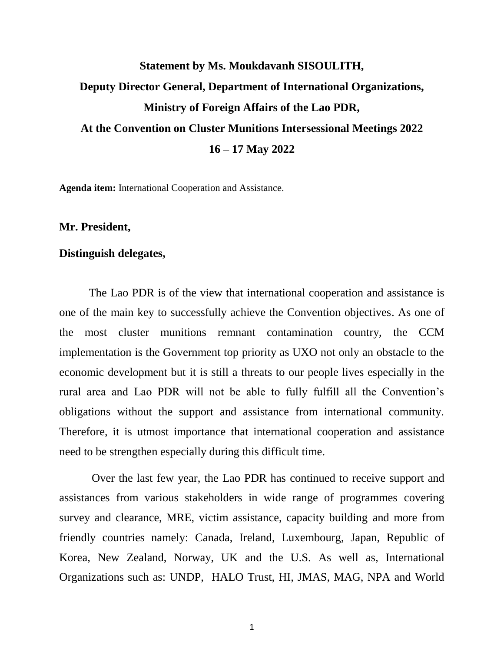## **Statement by Ms. Moukdavanh SISOULITH, Deputy Director General, Department of International Organizations, Ministry of Foreign Affairs of the Lao PDR, At the Convention on Cluster Munitions Intersessional Meetings 2022 16 – 17 May 2022**

**Agenda item:** International Cooperation and Assistance.

**Mr. President,**

## **Distinguish delegates,**

The Lao PDR is of the view that international cooperation and assistance is one of the main key to successfully achieve the Convention objectives. As one of the most cluster munitions remnant contamination country, the CCM implementation is the Government top priority as UXO not only an obstacle to the economic development but it is still a threats to our people lives especially in the rural area and Lao PDR will not be able to fully fulfill all the Convention's obligations without the support and assistance from international community. Therefore, it is utmost importance that international cooperation and assistance need to be strengthen especially during this difficult time.

Over the last few year, the Lao PDR has continued to receive support and assistances from various stakeholders in wide range of programmes covering survey and clearance, MRE, victim assistance, capacity building and more from friendly countries namely: Canada, Ireland, Luxembourg, Japan, Republic of Korea, New Zealand, Norway, UK and the U.S. As well as, International Organizations such as: UNDP, HALO Trust, HI, JMAS, MAG, NPA and World

1